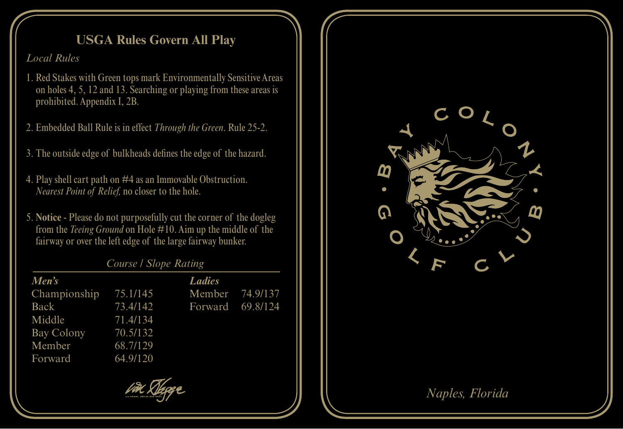## **USGA Rules Govern All Play**

*Local Rules*

- 1. Red Stakes with Green tops mark Environmentally Sensitive Areas on holes 4, 5, 12 and 13. Searching or playing from these areas is prohibited. Appendix I, 2B.
- 2. Embedded Ball Rule is in effect *Through the Green*. Rule 25-2.
- 3. The outside edge of bulkheads defines the edge of the hazard.
- 4. Play shell cart path on #4 as an Immovable Obstruction. *Nearest Point of Relief,* no closer to the hole.
- 5. **Notice** Please do not purposefully cut the corner of the dogleg from the *Teeing Ground* on Hole #10. Aim up the middle of the fairway or over the left edge of the large fairway bunker.

*Course / Slope Rating*

| Men's        |          | <b>Ladies</b>    |  |
|--------------|----------|------------------|--|
| Championship | 75.1/145 | Member 74.9/137  |  |
| Back         | 73.4/142 | Forward 69.8/124 |  |
| Middle       | 71.4/134 |                  |  |
| Bay Colony   | 70.5/132 |                  |  |
| Member       | 68.7/129 |                  |  |
| Forward      | 64.9/120 |                  |  |
|              |          |                  |  |





## *Naples, Florida*